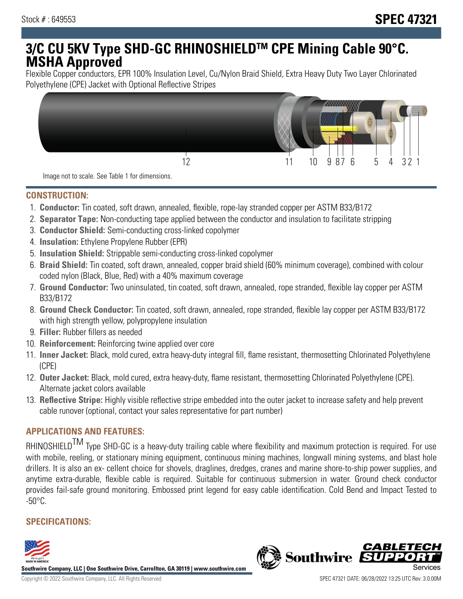# **3/C CU 5KV Type SHD-GC RHINOSHIELDTM CPE Mining Cable 90°C. MSHA Approved**

Flexible Copper conductors, EPR 100% Insulation Level, Cu/Nylon Braid Shield, Extra Heavy Duty Two Layer Chlorinated Polyethylene (CPE) Jacket with Optional Reflective Stripes



Image not to scale. See Table 1 for dimensions.

#### **CONSTRUCTION:**

- 1. **Conductor:** Tin coated, soft drawn, annealed, flexible, rope-lay stranded copper per ASTM B33/B172
- 2. **Separator Tape:** Non-conducting tape applied between the conductor and insulation to facilitate stripping
- 3. **Conductor Shield:** Semi-conducting cross-linked copolymer
- 4. **Insulation:** Ethylene Propylene Rubber (EPR)
- 5. **Insulation Shield:** Strippable semi-conducting cross-linked copolymer
- 6. **Braid Shield:** Tin coated, soft drawn, annealed, copper braid shield (60% minimum coverage), combined with colour coded nylon (Black, Blue, Red) with a 40% maximum coverage
- 7. **Ground Conductor:** Two uninsulated, tin coated, soft drawn, annealed, rope stranded, flexible lay copper per ASTM B33/B172
- 8. **Ground Check Conductor:** Tin coated, soft drawn, annealed, rope stranded, flexible lay copper per ASTM B33/B172 with high strength yellow, polypropylene insulation
- 9. **Filler:** Rubber fillers as needed
- 10. **Reinforcement:** Reinforcing twine applied over core
- 11. **Inner Jacket:** Black, mold cured, extra heavy-duty integral fill, flame resistant, thermosetting Chlorinated Polyethylene (CPE)
- 12. **Outer Jacket:** Black, mold cured, extra heavy-duty, flame resistant, thermosetting Chlorinated Polyethylene (CPE). Alternate jacket colors available
- 13. **Reflective Stripe:** Highly visible reflective stripe embedded into the outer jacket to increase safety and help prevent cable runover (optional, contact your sales representative for part number)

## **APPLICATIONS AND FEATURES:**

RHINOSHIELD<sup>TM</sup> Type SHD-GC is a heavy-duty trailing cable where flexibility and maximum protection is required. For use with mobile, reeling, or stationary mining equipment, continuous mining machines, longwall mining systems, and blast hole drillers. It is also an ex- cellent choice for shovels, draglines, dredges, cranes and marine shore-to-ship power supplies, and anytime extra-durable, flexible cable is required. Suitable for continuous submersion in water. Ground check conductor provides fail-safe ground monitoring. Embossed print legend for easy cable identification. Cold Bend and Impact Tested to  $-50^{\circ}$ C.

# **SPECIFICATIONS:**



**Southwire Company, LLC | One Southwire Drive, Carrollton, GA 30119 | www.southwire.com**

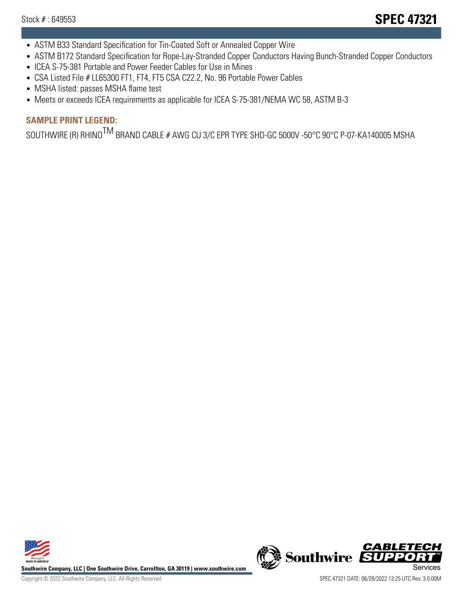- ASTM B33 Standard Specification for Tin-Coated Soft or Annealed Copper Wire
- ASTM B172 Standard Specification for Rope-Lay-Stranded Copper Conductors Having Bunch-Stranded Copper Conductors
- ICEA S-75-381 Portable and Power Feeder Cables for Use in Mines
- CSA Listed File # LL65300 FT1, FT4, FT5 CSA C22.2, No. 96 Portable Power Cables
- MSHA listed: passes MSHA flame test
- Meets or exceeds ICEA requirements as applicable for ICEA S-75-381/NEMA WC 58, ASTM B-3

# **SAMPLE PRINT LEGEND:**

SOUTHWIRE (R) RHINO<sup>TM</sup> BRAND CABLE # AWG CU 3/C EPR TYPE SHD-GC 5000V -50°C 90°C P-07-KA140005 MSHA